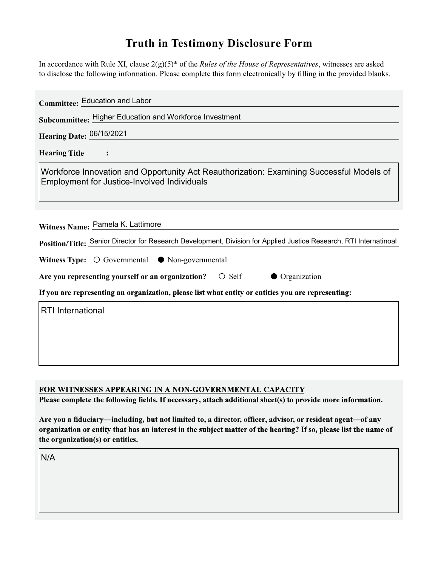## Truth in Testimony Disclosure Form

In accordance with Rule XI, clause  $2(g)(5)^*$  of the *Rules of the House of Representatives*, witnesses are asked to disclose the following information. Please complete this form electronically by filling in the provided blanks.

| <b>Committee: Education and Labor</b>                                                                                                          |
|------------------------------------------------------------------------------------------------------------------------------------------------|
| Subcommittee: Higher Education and Workforce Investment                                                                                        |
| Hearing Date: 06/15/2021                                                                                                                       |
| <b>Hearing Title</b>                                                                                                                           |
| Workforce Innovation and Opportunity Act Reauthorization: Examining Successful Models of<br><b>Employment for Justice-Involved Individuals</b> |
|                                                                                                                                                |
| Witness Name: Pamela K. Lattimore                                                                                                              |
| Position/Title: Senior Director for Research Development, Division for Applied Justice Research, RTI Internatinoal                             |
| <b>Witness Type:</b> $\bigcirc$ Governmental $\bigcirc$ Non-governmental                                                                       |
| Are you representing yourself or an organization?<br>$\circ$ Self<br><b>Organization</b>                                                       |
| If you are representing an organization, please list what entity or entities you are representing:                                             |
| <b>RTI</b> International                                                                                                                       |
|                                                                                                                                                |
|                                                                                                                                                |
|                                                                                                                                                |

FOR WITNESSES APPEARING IN A NON-GOVERNMENTAL CAPACITY

Please complete the following fields. If necessary, attach additional sheet(s) to provide more information.

Are you a fiduciary-including, but not limited to, a director, officer, advisor, or resident agent-of any organization or entity that has an interest in the subject matter of the hearing? If so, please list the name of the organization(s) or entities.

N/A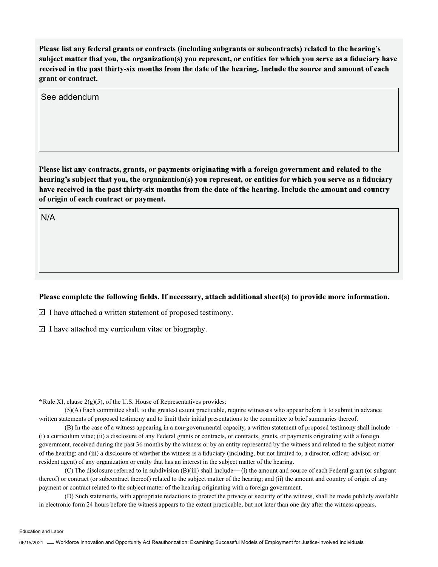Please list any federal grants or contracts (including subgrants or subcontracts) related to the hearing's subject matter that you, the organization(s) you represent, or entities for which you serve as a fiduciary have received in the past thirty-six months from the date of the hearing. Include the source and amount of each grant or contract.

See addendum

Please list any contracts, grants, or payments originating with a foreign government and related to the hearing's subject that you, the organization(s) you represent, or entities for which you serve as a fiduciary have received in the past thirty-six months from the date of the hearing. Include the amount and country of origin of each contract or payment.

N/A

## Please complete the following fields. If necessary, attach additional sheet(s) to provide more information.

 $\Box$  I have attached a written statement of proposed testimony.

 $\Box$  I have attached my curriculum vitae or biography.

\* Rule XI, clause  $2(g)(5)$ , of the U.S. House of Representatives provides:

(5)(A) Each committee shall, to the greatest extent practicable, require witnesses who appear before it to submit in advance written statements of proposed testimony and to limit their initial presentations to the committee to brief summaries thereof.

(B) In the case of a witness appearing in a non-governmental capacity, a written statement of proposed testimony shall include— (i) a curriculum vitae; (ii) a disclosure of any Federal grants or contracts, or contracts, grants, or payments originating with a foreign government, received during the past 36 months by the witness or by an entity represented by the witness and related to the subject matter of the hearing; and (iii) a disclosure of whether the witness is a fiduciary (including, but not limited to, a director, officer, advisor, or resident agent) of any organization or entity that has an interest in the subject matter of the hearing.

(C) The disclosure referred to in subdivision  $(B)(iii)$  shall include— $(i)$  the amount and source of each Federal grant (or subgrant thereof) or contract (or subcontract thereof) related to the subject matter of the hearing; and (ii) the amount and country of origin of any payment or contract related to the subject matter of the hearing originating with a foreign government.

(D) Such statements, with appropriate redactions to protect the privacy or security of the witness, shall be made publicly available in electronic form 24 hours before the witness appears to the extent practicable, but not later than one day after the witness appears.

Education and Labor